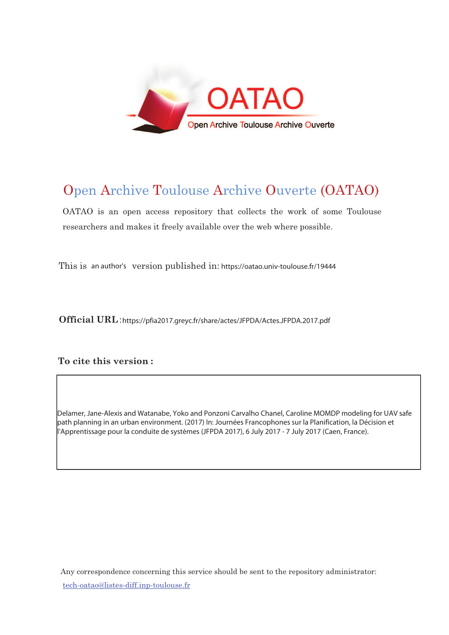

# Open Archive Toulouse Archive Ouverte (OATAO)

OATAO is an open access repository that collects the work of some Toulouse researchers and makes it freely available over the web where possible.

This is an author's version published in: https://oatao.univ-toulouse.fr/19444

Official URL:https://pfia2017.greyc.fr/share/actes/JFPDA/Actes.JFPDA.2017.pdf

## To cite this version :

Delamer, Jane-Alexis and Watanabe, Yoko and Ponzoni Carvalho Chanel, Caroline MOMDP modeling for UAV safe path planning in an urban environment. (2017) In: Journées Francophones sur la Planification, la Décision et l'Apprentissage pour la conduite de systèmes (JFPDA 2017), 6 July 2017 - 7 July 2017 (Caen, France).

Any correspondence concerning this service should be sent to the repository administrator: <u>tech-oatao@listes-diff.inp-toulouse.fr</u>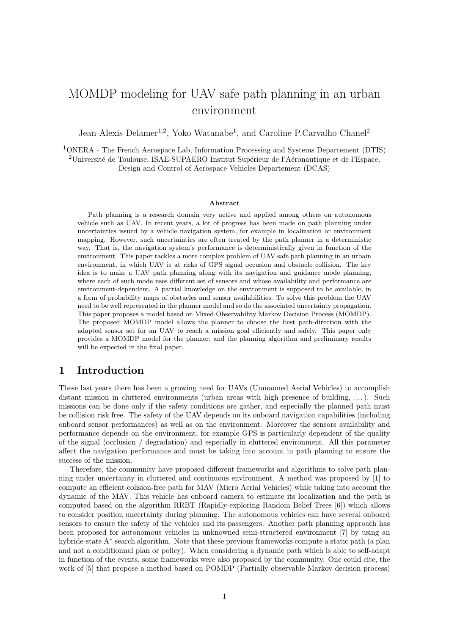## MOMDP modeling for UAV safe path planning in an urban environment

Jean-Alexis Delamer<sup>1,2</sup>, Yoko Watanabe<sup>1</sup>, and Caroline P.Carvalho Chanel<sup>2</sup>

<sup>1</sup>ONERA - The French Aerospace Lab, Information Processing and Systems Departement (DTIS) <sup>2</sup>Université de Toulouse, ISAE-SUPAERO Institut Supérieur de l'Aéronautique et de l'Espace, Design and Control of Aerospace Vehicles Departement (DCAS)

#### Abstract

Path planning is a research domain very active and applied among others on autonomous vehicle such as UAV. In recent years, a lot of progress has been made on path planning under uncertainties issued by a vehicle navigation system, for example in localization or environment mapping. However, such uncertainties are often treated by the path planner in a deterministic way. That is, the navigation system's performance is deterministically given in function of the environment. This paper tackles a more complex problem of UAV safe path planning in an urbain environment, in which UAV is at risks of GPS signal occusion and obstacle collision. The key idea is to make a UAV path planning along with its navigation and guidance mode planning, where each of such mode uses different set of sensors and whose availability and performance are environment-dependent. A partial knowledge on the environment is supposed to be available, in a form of probability maps of obstacles and sensor availabilities. To solve this problem the UAV need to be well represented in the planner model and so do the associated uncertainty propagation. This paper proposes a model based on Mixed Observability Markov Decision Process (MOMDP). The proposed MOMDP model allows the planner to choose the best path-direction with the adapted sensor set for an UAV to reach a mission goal efficiently and safely. This paper only provides a MOMDP model for the planner, and the planning algorithm and preliminary results will be expected in the final paper.

## 1 Introduction

These last years there has been a growing need for UAVs (Unmanned Aerial Vehicles) to accomplish distant mission in cluttered environments (urban areas with high presence of building, ...). Such missions can be done only if the safety conditions are gather, and especially the planned path must be collision risk free. The safety of the UAV depends on its onboard navigation capabilities (including onboard sensor performances) as well as on the environment. Moreover the sensors availability and performance depends on the environment, for example GPS is particularly dependent of the quality of the signal (occlusion / degradation) and especially in cluttered environment. All this parameter affect the navigation performance and must be taking into account in path planning to ensure the success of the mission.

Therefore, the community have proposed different frameworks and algorithms to solve path planning under uncertainty in cluttered and continuous environment. A method was proposed by [1] to compute an efficient colision-free path for MAV (Micro Aerial Vehicles) while taking into account the dynamic of the MAV. This vehicle has onboard camera to estimate its localization and the path is computed based on the algorithm RRBT (Rapidly-exploring Random Belief Trees [6]) which allows to consider position uncertainty during planning. The autonomous vehicles can have several onboard sensors to ensure the safety of the vehicles and its passengers. Another path planning approach has been proposed for autonomous vehicles in unknowned semi-structered environment [7] by using an hybride-state A<sup>∗</sup> search algorithm. Note that these previous frameworks compute a static path (a plan and not a conditionnal plan or policy). When considering a dynamic path which is able to self-adapt in function of the events, some frameworks were also proposed by the community. One could cite, the work of [5] that propose a method based on POMDP (Partially observable Markov decision process)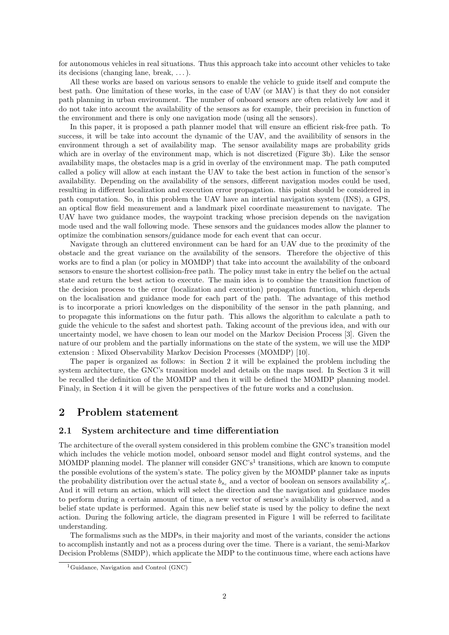for autonomous vehicles in real situations. Thus this approach take into account other vehicles to take its decisions (changing lane, break, . . .).

All these works are based on various sensors to enable the vehicle to guide itself and compute the best path. One limitation of these works, in the case of UAV (or MAV) is that they do not consider path planning in urban environment. The number of onboard sensors are often relatively low and it do not take into account the availability of the sensors as for example, their precision in function of the environment and there is only one navigation mode (using all the sensors).

In this paper, it is proposed a path planner model that will ensure an efficient risk-free path. To success, it will be take into account the dynamic of the UAV, and the availibility of sensors in the environment through a set of availability map. The sensor availability maps are probability grids which are in overlay of the environment map, which is not discretized (Figure 3b). Like the sensor availability maps, the obstacles map is a grid in overlay of the environment map. The path computed called a policy will allow at each instant the UAV to take the best action in function of the sensor's availability. Depending on the availability of the sensors, different navigation modes could be used, resulting in different localization and execution error propagation. this point should be considered in path computation. So, in this problem the UAV have an intertial navigation system (INS), a GPS, an optical flow field measurement and a landmark pixel coordinate measurement to navigate. The UAV have two guidance modes, the waypoint tracking whose precision depends on the navigation mode used and the wall following mode. These sensors and the guidances modes allow the planner to optimize the combination sensors/guidance mode for each event that can occur.

Navigate through an cluttered environment can be hard for an UAV due to the proximity of the obstacle and the great variance on the availability of the sensors. Therefore the objective of this works are to find a plan (or policy in MOMDP) that take into account the availability of the onboard sensors to ensure the shortest collision-free path. The policy must take in entry the belief on the actual state and return the best action to execute. The main idea is to combine the transition function of the decision process to the error (localization and execution) propagation function, which depends on the localisation and guidance mode for each part of the path. The advantage of this method is to incorporate a priori knowledges on the disponibility of the sensor in the path planning, and to propagate this informations on the futur path. This allows the algorithm to calculate a path to guide the vehicule to the safest and shortest path. Taking account of the previous idea, and with our uncertainty model, we have chosen to lean our model on the Markov Decision Process [3]. Given the nature of our problem and the partially informations on the state of the system, we will use the MDP extension : Mixed Observability Markov Decision Processes (MOMDP) [10].

The paper is organized as follows: in Section 2 it will be explained the problem including the system architecture, the GNC's transition model and details on the maps used. In Section 3 it will be recalled the definition of the MOMDP and then it will be defined the MOMDP planning model. Finaly, in Section 4 it will be given the perspectives of the future works and a conclusion.

## 2 Problem statement

## 2.1 System architecture and time differentiation

The architecture of the overall system considered in this problem combine the GNC's transition model which includes the vehicle motion model, onboard sensor model and flight control systems, and the MOMDP planning model. The planner will consider GNC's<sup>1</sup> transitions, which are known to compute the possible evolutions of the system's state. The policy given by the MOMDP planner take as inputs the probability distribution over the actual state  $b_{s_c}$  and a vector of boolean on sensors availability  $s'_v$ . And it will return an action, which will select the direction and the navigation and guidance modes to perform during a certain amount of time, a new vector of sensor's availability is observed, and a belief state update is performed. Again this new belief state is used by the policy to define the next action. During the following article, the diagram presented in Figure 1 will be referred to facilitate understanding.

The formalisms such as the MDPs, in their majority and most of the variants, consider the actions to accomplish instantly and not as a process during over the time. There is a variant, the semi-Markov Decision Problems (SMDP), which applicate the MDP to the continuous time, where each actions have

<sup>&</sup>lt;sup>1</sup>Guidance, Navigation and Control (GNC)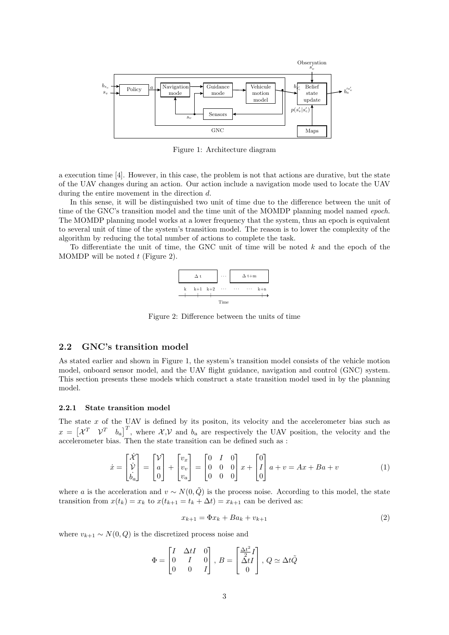

Figure 1: Architecture diagram

a execution time [4]. However, in this case, the problem is not that actions are durative, but the state of the UAV changes during an action. Our action include a navigation mode used to locate the UAV during the entire movement in the direction d.

In this sense, it will be distinguished two unit of time due to the difference between the unit of time of the GNC's transition model and the time unit of the MOMDP planning model named epoch. The MOMDP planning model works at a lower frequency that the system, thus an epoch is equivalent to several unit of time of the system's transition model. The reason is to lower the complexity of the algorithm by reducing the total number of actions to complete the task.

To differentiate the unit of time, the GNC unit of time will be noted  $k$  and the epoch of the MOMDP will be noted  $t$  (Figure 2).



Figure 2: Difference between the units of time

## 2.2 GNC's transition model

As stated earlier and shown in Figure 1, the system's transition model consists of the vehicle motion model, onboard sensor model, and the UAV flight guidance, navigation and control (GNC) system. This section presents these models which construct a state transition model used in by the planning model.

## 2.2.1 State transition model

The state  $x$  of the UAV is defined by its positon, its velocity and the accelerometer bias such as  $x = \begin{bmatrix} \mathcal{X}^T & \mathcal{V}^T & b_a \end{bmatrix}^T$ , where  $\mathcal{X}, \mathcal{V}$  and  $b_a$  are respectively the UAV position, the velocity and the accelerometer bias. Then the state transition can be defined such as :

$$
\dot{x} = \begin{bmatrix} \dot{\mathcal{X}} \\ \dot{\mathcal{V}} \\ \dot{b}_a \end{bmatrix} = \begin{bmatrix} \mathcal{V} \\ a \\ 0 \end{bmatrix} + \begin{bmatrix} v_x \\ v_v \\ v_a \end{bmatrix} = \begin{bmatrix} 0 & I & 0 \\ 0 & 0 & 0 \\ 0 & 0 & 0 \end{bmatrix} x + \begin{bmatrix} 0 \\ I \\ 0 \end{bmatrix} a + v = Ax + Ba + v \tag{1}
$$

where a is the acceleration and  $v \sim N(0, \tilde{Q})$  is the process noise. According to this model, the state transition from  $x(t_k) = x_k$  to  $x(t_{k+1} = t_k + \Delta t) = x_{k+1}$  can be derived as:

$$
x_{k+1} = \Phi x_k + B a_k + v_{k+1}
$$
 (2)

where  $v_{k+1} \sim N(0, Q)$  is the discretized process noise and

$$
\Phi = \begin{bmatrix} I & \Delta tI & 0 \\ 0 & I & 0 \\ 0 & 0 & I \end{bmatrix}, B = \begin{bmatrix} \frac{\Delta t^2}{2}I \\ \Delta tI \\ 0 \end{bmatrix}, Q \simeq \Delta t \tilde{Q}
$$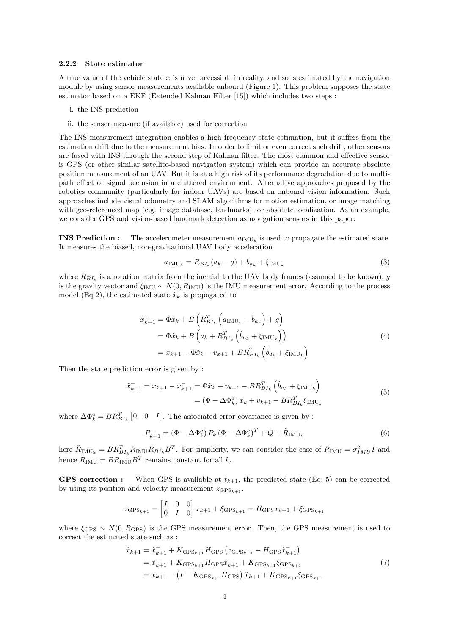## 2.2.2 State estimator

A true value of the vehicle state  $x$  is never accessible in reality, and so is estimated by the navigation module by using sensor measurements available onboard (Figure 1). This problem supposes the state estimator based on a EKF (Extended Kalman Filter [15]) which includes two steps :

- i. the INS prediction
- ii. the sensor measure (if available) used for correction

The INS measurement integration enables a high frequency state estimation, but it suffers from the estimation drift due to the measurement bias. In order to limit or even correct such drift, other sensors are fused with INS through the second step of Kalman filter. The most common and effective sensor is GPS (or other similar satellite-based navigation system) which can provide an accurate absolute position measurement of an UAV. But it is at a high risk of its performance degradation due to multipath effect or signal occlusion in a cluttered environment. Alternative approaches proposed by the robotics community (particularly for indoor UAVs) are based on onboard vision information. Such approaches include visual odometry and SLAM algorithms for motion estimation, or image matching with geo-referenced map (e.g. image database, landmarks) for absolute localization. As an example, we consider GPS and vision-based landmark detection as navigation sensors in this paper.

**INS Prediction :** The accelerometer measurement  $a_{\text{IMU}_k}$  is used to propagate the estimated state. It measures the biased, non-gravitational UAV body acceleration

$$
a_{\text{IMU}_k} = R_{BI_k}(a_k - g) + b_{a_k} + \xi_{\text{IMU}_k}
$$
\n(3)

where  $R_{BI_k}$  is a rotation matrix from the inertial to the UAV body frames (assumed to be known), g is the gravity vector and  $\xi_{\text{IMU}} \sim N(0, R_{\text{IMU}})$  is the IMU measurement error. According to the process model (Eq 2), the estimated state  $\hat{x}_k$  is propagated to

$$
\hat{x}_{k+1}^{-} = \Phi \hat{x}_k + B \left( R_{BI_k}^T \left( a_{\text{IMU}_k} - \hat{b}_{a_k} \right) + g \right)
$$
  
\n
$$
= \Phi \hat{x}_k + B \left( a_k + R_{BI_k}^T \left( \tilde{b}_{a_k} + \xi_{\text{IMU}_k} \right) \right)
$$
  
\n
$$
= x_{k+1} - \Phi \tilde{x}_k - v_{k+1} + BR_{BI_k}^T \left( \tilde{b}_{a_k} + \xi_{\text{IMU}_k} \right)
$$
\n(4)

Then the state prediction error is given by :

$$
\tilde{x}_{k+1}^- = x_{k+1} - \hat{x}_{k+1}^- = \Phi \tilde{x}_k + v_{k+1} - BR_{BI_k}^T \left( \tilde{b}_{a_k} + \xi_{\text{IMU}_k} \right)
$$
  
=  $(\Phi - \Delta \Phi_k^a) \tilde{x}_k + v_{k+1} - BR_{BI_k}^T \xi_{\text{IMU}_k}$  (5)

where  $\Delta \Phi_k^a = BR_{BI_k}^T$  [0 0 *I*]. The associated error covariance is given by :

$$
P_{k+1}^- = \left(\Phi - \Delta \Phi_k^a\right) P_k \left(\Phi - \Delta \Phi_k^a\right)^T + Q + \tilde{R}_{\text{IMU}_k} \tag{6}
$$

here  $\tilde{R}_{\text{IMU}_k} = BR_{BI_k}^T R_{\text{IMU}} R_{BI_k} B^T$ . For simplicity, we can consider the case of  $R_{\text{IMU}} = \sigma_{IMU}^2 I$  and hence  $\tilde{R}_{\text{IMU}} = BR_{\text{IMU}} B^T$  remains constant for all k.

**GPS correction :** When GPS is available at  $t_{k+1}$ , the predicted state (Eq: 5) can be corrected by using its position and velocity measurement  $z_{\text{GPS}_{k+1}}$ .

$$
z_{\text{GPS}_{k+1}} = \begin{bmatrix} I & 0 & 0 \\ 0 & I & 0 \end{bmatrix} x_{k+1} + \xi_{\text{GPS}_{k+1}} = H_{\text{GPS}} x_{k+1} + \xi_{\text{GPS}_{k+1}}
$$

where  $\xi_{\text{GPS}} \sim N(0, R_{\text{GPS}})$  is the GPS measurement error. Then, the GPS measurement is used to correct the estimated state such as :

$$
\hat{x}_{k+1} = \hat{x}_{k+1} + K_{\text{GPS}_{k+1}} H_{\text{GPS}} \left( z_{\text{GPS}_{k+1}} - H_{\text{GPS}} \hat{x}_{k+1} \right)
$$
  
\n
$$
= \hat{x}_{k+1} + K_{\text{GPS}_{k+1}} H_{\text{GPS}} \hat{x}_{k+1} + K_{\text{GPS}_{k+1}} \xi_{\text{GPS}_{k+1}}
$$
  
\n
$$
= x_{k+1} - \left( I - K_{\text{GPS}_{k+1}} H_{\text{GPS}} \right) \tilde{x}_{k+1} + K_{\text{GPS}_{k+1}} \xi_{\text{GPS}_{k+1}}
$$
\n(7)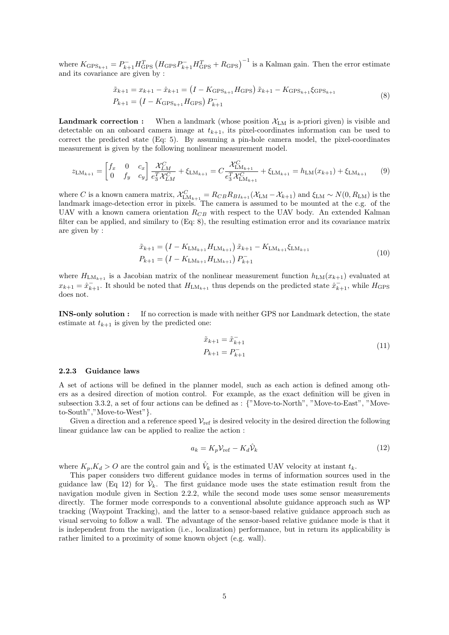where  $K_{\text{GPS}_{k+1}} = P_{k+1}^- H_{\text{GPS}}^T (H_{\text{GPS}} P_{k+1}^+ H_{\text{GPS}}^T + R_{\text{GPS}})^{-1}$  is a Kalman gain. Then the error estimate and its covariance are given by :

$$
\tilde{x}_{k+1} = x_{k+1} - \hat{x}_{k+1} = (I - K_{\text{GPS}_{k+1}} H_{\text{GPS}}) \tilde{x}_{k+1} - K_{\text{GPS}_{k+1}} \xi_{\text{GPS}_{k+1}}
$$
\n
$$
P_{k+1} = (I - K_{\text{GPS}_{k+1}} H_{\text{GPS}}) P_{k+1}^{-}
$$
\n
$$
(8)
$$

**Landmark correction :** When a landmark (whose position  $\mathcal{X}_{LM}$  is a-priori given) is visible and detectable on an onboard camera image at  $t_{k+1}$ , its pixel-coordinates information can be used to correct the predicted state (Eq: 5). By assuming a pin-hole camera model, the pixel-coordinates measurement is given by the following nonlinear measurement model.

$$
z_{\text{LM}_{k+1}} = \begin{bmatrix} f_x & 0 & c_x \\ 0 & f_y & c_y \end{bmatrix} \frac{\mathcal{X}_{LM}^C}{e_3^T \mathcal{X}_{LM}^C} + \xi_{\text{LM}_{k+1}} = C \frac{\mathcal{X}_{LM_{k+1}}^C}{e_3^T \mathcal{X}_{LM_{k+1}}^C} + \xi_{\text{LM}_{k+1}} = h_{\text{LM}}(x_{k+1}) + \xi_{\text{LM}_{k+1}} \tag{9}
$$

where C is a known camera matrix,  $\mathcal{X}_{LM_{k+1}}^C = R_{CB}R_{BI_{k+1}}(\mathcal{X}_{LM} - \mathcal{X}_{k+1})$  and  $\xi_{LM} \sim N(0, R_{LM})$  is the landmark image-detection error in pixels. The camera is assumed to be mounted at the c.g. of the UAV with a known camera orientation  $R_{CB}$  with respect to the UAV body. An extended Kalman filter can be applied, and similary to (Eq: 8), the resulting estimation error and its covariance matrix are given by :

$$
\tilde{x}_{k+1} = \left(I - K_{\text{LM}_{k+1}} H_{\text{LM}_{k+1}}\right) \tilde{x}_{k+1} - K_{\text{LM}_{k+1}} \xi_{\text{LM}_{k+1}}
$$
\n
$$
P_{k+1} = \left(I - K_{\text{LM}_{k+1}} H_{\text{LM}_{k+1}}\right) P_{k+1}^{-}
$$
\n
$$
(10)
$$

where  $H_{LM_{k+1}}$  is a Jacobian matrix of the nonlinear measurement function  $h_{LM}(x_{k+1})$  evaluated at  $x_{k+1} = \hat{x}_{k+1}^-$ . It should be noted that  $H_{LM_{k+1}}$  thus depends on the predicted state  $\hat{x}_{k+1}^-$ , while  $H_{\text{GPS}}$ does not.

INS-only solution : If no correction is made with neither GPS nor Landmark detection, the state estimate at  $t_{k+1}$  is given by the predicted one:

$$
\tilde{x}_{k+1} = \tilde{x}_{k+1}^{-}
$$
\n
$$
P_{k+1} = P_{k+1}^{-}
$$
\n(11)

## 2.2.3 Guidance laws

A set of actions will be defined in the planner model, such as each action is defined among others as a desired direction of motion control. For example, as the exact definition will be given in subsection 3.3.2, a set of four actions can be defined as : {"Move-to-North", "Move-to-East", "Moveto-South","Move-to-West"}.

Given a direction and a reference speed  $V_{ref}$  is desired velocity in the desired direction the following linear guidance law can be applied to realize the action :

$$
a_k = K_p \mathcal{V}_{\text{ref}} - K_d \hat{\mathcal{V}}_k \tag{12}
$$

where  $K_p, K_d > 0$  are the control gain and  $\hat{V}_k$  is the estimated UAV velocity at instant  $t_k$ .

This paper considers two different guidance modes in terms of information sources used in the guidance law (Eq 12) for  $\hat{\mathcal{V}}_k$ . The first guidance mode uses the state estimation result from the navigation module given in Section 2.2.2, while the second mode uses some sensor measurements directly. The former mode corresponds to a conventional absolute guidance approach such as WP tracking (Waypoint Tracking), and the latter to a sensor-based relative guidance approach such as visual servoing to follow a wall. The advantage of the sensor-based relative guidance mode is that it is independent from the navigation (i.e., localization) performance, but in return its applicability is rather limited to a proximity of some known object (e.g. wall).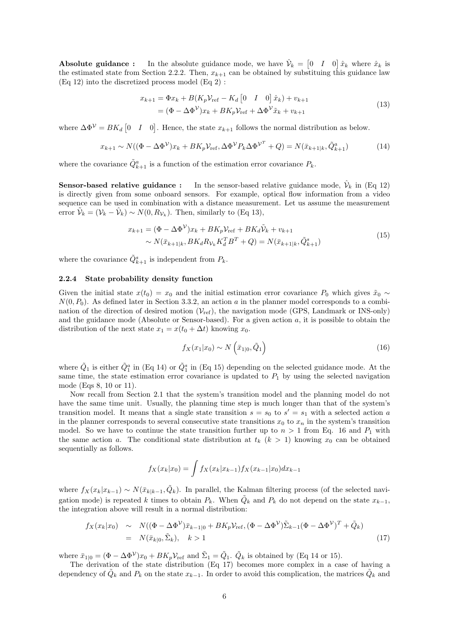**Absolute guidance :** In the absolute guidance mode, we have  $\hat{\mathcal{V}}_k = \begin{bmatrix} 0 & I & 0 \end{bmatrix} \hat{x}_k$  where  $\hat{x}_k$  is the estimated state from Section 2.2.2. Then,  $x_{k+1}$  can be obtained by substituing this guidance law (Eq 12) into the discretized process model (Eq 2) :

$$
x_{k+1} = \Phi x_k + B(K_p V_{\text{ref}} - K_d \begin{bmatrix} 0 & I & 0 \end{bmatrix} \hat{x}_k) + v_{k+1}
$$
  
=  $(\Phi - \Delta \Phi^V) x_k + BK_p V_{\text{ref}} + \Delta \Phi^V \tilde{x}_k + v_{k+1}$  (13)

where  $\Delta \Phi^{\mathcal{V}} = BK_d \begin{bmatrix} 0 & I & 0 \end{bmatrix}$ . Hence, the state  $x_{k+1}$  follows the normal distribution as below.

$$
x_{k+1} \sim N((\Phi - \Delta \Phi^{\mathcal{V}})x_k + BK_p \mathcal{V}_{\text{ref}}, \Delta \Phi^{\mathcal{V}} P_k \Delta \Phi^{\mathcal{V}^T} + Q) = N(\bar{x}_{k+1|k}, \tilde{Q}_{k+1}^a)
$$
(14)

where the covariance  $\tilde{Q}_{k+1}^a$  is a function of the estimation error covariance  $P_k$ .

**Sensor-based relative guidance :** In the sensor-based relative guidance mode,  $\hat{\mathcal{V}}_k$  in (Eq 12) is directly given from some onboard sensors. For example, optical flow information from a video sequence can be used in combination with a distance measurement. Let us assume the measurement error  $\tilde{\mathcal{V}}_k = (\mathcal{V}_k - \hat{\mathcal{V}}_k) \sim N(0, R_{\mathcal{V}_k})$ . Then, similarly to (Eq 13),

$$
x_{k+1} = (\Phi - \Delta \Phi^{\mathcal{V}}) x_k + B K_p \mathcal{V}_{\text{ref}} + B K_d \tilde{\mathcal{V}}_k + v_{k+1} \sim N(\bar{x}_{k+1|k}, B K_d R_{\mathcal{V}_k} K_d^T B^T + Q) = N(\bar{x}_{k+1|k}, \tilde{Q}_{k+1}^s)
$$
\n(15)

where the covariance  $\tilde{Q}_{k+1}^s$  is independent from  $P_k$ .

## 2.2.4 State probability density function

Given the initial state  $x(t_0) = x_0$  and the initial estimation error covariance  $P_0$  which gives  $\tilde{x}_0 \sim$  $N(0, P_0)$ . As defined later in Section 3.3.2, an action a in the planner model corresponds to a combination of the direction of desired motion  $(\mathcal{V}_{ref})$ , the navigation mode (GPS, Landmark or INS-only) and the guidance mode (Absolute or Sensor-based). For a given action  $a$ , it is possible to obtain the distribution of the next state  $x_1 = x(t_0 + \Delta t)$  knowing  $x_0$ .

$$
f_X(x_1|x_0) \sim N\left(\bar{x}_{1|0}, \tilde{Q}_1\right) \tag{16}
$$

where  $\tilde{Q}_1$  is either  $\tilde{Q}_1^a$  in (Eq 14) or  $\tilde{Q}_1^s$  in (Eq 15) depending on the selected guidance mode. At the same time, the state estimation error covariance is updated to  $P_1$  by using the selected navigation mode (Eqs 8, 10 or 11).

Now recall from Section 2.1 that the system's transition model and the planning model do not have the same time unit. Usually, the planning time step is much longer than that of the system's transition model. It means that a single state transition  $s = s_0$  to  $s' = s_1$  with a selected action a in the planner corresponds to several consecutive state transitions  $x_0$  to  $x_n$  in the system's transition model. So we have to continue the state transition further up to  $n > 1$  from Eq. 16 and  $P_1$  with the same action a. The conditional state distribution at  $t_k$   $(k > 1)$  knowing  $x_0$  can be obtained sequentially as follows.

$$
f_X(x_k|x_0) = \int f_X(x_k|x_{k-1}) f_X(x_{k-1}|x_0) dx_{k-1}
$$

where  $f_X(x_k|x_{k-1}) \sim N(\bar{x}_{k|k-1}, \tilde{Q}_k)$ . In parallel, the Kalman filtering process (of the selected navigation mode) is repeated k times to obtain  $P_k$ . When  $\tilde{Q}_k$  and  $P_k$  do not depend on the state  $x_{k-1}$ , the integration above will result in a normal distribution:

$$
f_X(x_k|x_0) \sim N((\Phi - \Delta \Phi^{\mathcal{V}})\bar{x}_{k-1|0} + BK_p \mathcal{V}_{\text{ref}}, (\Phi - \Delta \Phi^{\mathcal{V}})\tilde{\Sigma}_{k-1}(\Phi - \Delta \Phi^{\mathcal{V}})^T + \tilde{Q}_k)
$$
  
=  $N(\bar{x}_{k|0}, \tilde{\Sigma}_k), \quad k > 1$  (17)

where  $\bar{x}_{1|0} = (\Phi - \Delta \Phi^{\mathcal{V}}) x_0 + BK_p \mathcal{V}_{\text{ref}}$  and  $\tilde{\Sigma}_1 = \tilde{Q}_1$ .  $\tilde{Q}_k$  is obtained by (Eq 14 or 15).

The derivation of the state distribution (Eq 17) becomes more complex in a case of having a dependency of  $\tilde{Q}_k$  and  $P_k$  on the state  $x_{k-1}$ . In order to avoid this complication, the matrices  $\tilde{Q}_k$  and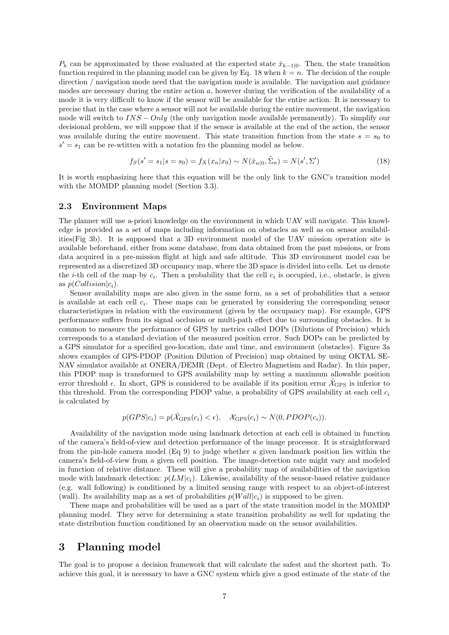$P_k$  can be approximated by those evaluated at the expected state  $\bar{x}_{k-1|0}$ . Then, the state transition function required in the planning model can be given by Eq. 18 when  $k = n$ . The decision of the couple direction / navigation mode need that the navigation mode is available. The navigation and guidance modes are necessary during the entire action a, however during the verification of the availability of a mode it is very difficult to know if the sensor will be available for the entire action. It is necessary to precise that in the case where a sensor will not be available during the entire movement, the navigation mode will switch to  $INS - Only$  (the only navigation mode available permanently). To simplify our decisional problem, we will suppose that if the sensor is available at the end of the action, the sensor was available during the entire movement. This state transition function from the state  $s = s_0$  to  $s' = s_1$  can be re-wtitten with a notation fro the planning model as below.

$$
f_S(s' = s_1 | s = s_0) = f_X(x_n | x_0) \sim N(\bar{x}_{n|0}, \tilde{\Sigma}_n) = N(s', \Sigma')
$$
\n(18)

It is worth emphasizing here that this equation will be the only link to the GNC's transition model with the MOMDP planning model (Section 3.3).

## 2.3 Environment Maps

The planner will use a-priori knowledge on the environment in which UAV will navigate. This knowledge is provided as a set of maps including information on obstacles as well as on sensor availabilities(Fig 3b). It is supposed that a 3D environment model of the UAV mission operation site is available beforehand, either from some database, from data obtained from the past missions, or from data acquired in a pre-mission flight at high and safe altitude. This 3D environment model can be represented as a discretized 3D occupancy map, where the 3D space is divided into cells. Let us denote the *i*-th cell of the map by  $c_i$ . Then a probability that the cell  $c_i$  is occupied, i.e., obstacle, is given as  $p(Collision|c_i)$ .

Sensor availability maps are also given in the same form, as a set of probabilities that a sensor is available at each cell  $c_i$ . These maps can be generated by considering the corresponding sensor characteristiques in relation with the environment (given by the occupancy map). For example, GPS performance suffers from its signal occlusion or multi-path effect due to surrounding obstacles. It is common to measure the performance of GPS by metrics called DOPs (Dilutions of Precision) which corresponds to a standard deviation of the measured position error. Such DOPs can be predicted by a GPS simulator for a specified geo-location, date and time, and environment (obstacles). Figure 3a shows examples of GPS-PDOP (Position Dilution of Precision) map obtained by using OKTAL SE-NAV simulator available at ONERA/DEMR (Dept. of Electro Magnetism and Radar). In this paper, this PDOP map is transformed to GPS availability map by setting a maximum allowable position error threshold  $\epsilon$ . In short, GPS is considered to be available if its position error  $\tilde{\mathcal{X}}_{\text{GPS}}$  is inferior to this threshold. From the corresponding PDOP value, a probability of GPS availability at each cell  $c_i$ is calculated by

$$
p(GPS|c_i) = p(\tilde{\mathcal{X}}_{\text{GPS}}(c_i) < \epsilon), \quad \mathcal{X}_{\text{GPS}}(c_i) \sim N(0, PDOP(c_i)).
$$

Availability of the navigation mode using landmark detection at each cell is obtained in function of the camera's field-of-view and detection performance of the image processor. It is straightforward from the pin-hole camera model (Eq 9) to judge whether a given landmark position lies within the camera's field-of-view from a given cell position. The image-detection rate might vary and modeled in function of relative distance. These will give a probability map of availabilities of the navigation mode with landmark detection:  $p(LM|c_i)$ . Likewise, availability of the sensor-based relative guidance (e.g. wall following) is conditioned by a limited sensing range with respect to an object-of-interest (wall). Its availability map as a set of probabilities  $p(Wall|c_i)$  is supposed to be given.

These maps and probabilities will be used as a part of the state transition model in the MOMDP planning model. They serve for determining a state transition probability as well for updating the state distribution function conditioned by an observation made on the sensor availabilities.

## 3 Planning model

The goal is to propose a decision framework that will calculate the safest and the shortest path. To achieve this goal, it is necessary to have a GNC system which give a good estimate of the state of the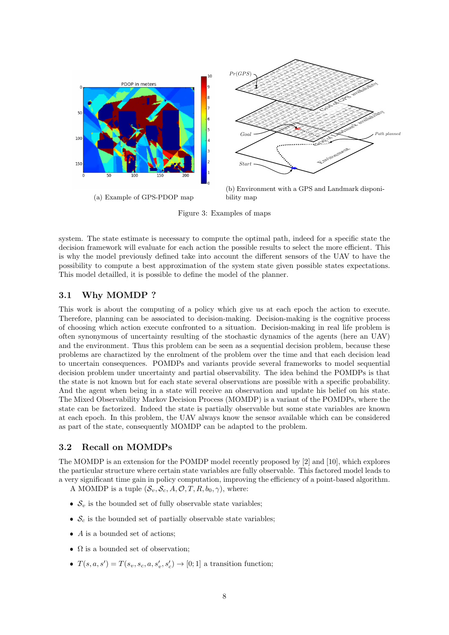

Figure 3: Examples of maps

system. The state estimate is necessary to compute the optimal path, indeed for a specific state the decision framework will evaluate for each action the possible results to select the more efficient. This is why the model previously defined take into account the different sensors of the UAV to have the possibility to compute a best approximation of the system state given possible states expectations. This model detailled, it is possible to define the model of the planner.

## 3.1 Why MOMDP ?

This work is about the computing of a policy which give us at each epoch the action to execute. Therefore, planning can be associated to decision-making. Decision-making is the cognitive process of choosing which action execute confronted to a situation. Decision-making in real life problem is often synonymous of uncertainty resulting of the stochastic dynamics of the agents (here an UAV) and the environment. Thus this problem can be seen as a sequential decision problem, because these problems are charactized by the enrolment of the problem over the time and that each decision lead to uncertain consequences. POMDPs and variants provide several frameworks to model sequential decision problem under uncertainty and partial observability. The idea behind the POMDPs is that the state is not known but for each state several observations are possible with a specific probability. And the agent when being in a state will receive an observation and update his belief on his state. The Mixed Observability Markov Decision Process (MOMDP) is a variant of the POMDPs, where the state can be factorized. Indeed the state is partially observable but some state variables are known at each epoch. In this problem, the UAV always know the sensor available which can be considered as part of the state, consequently MOMDP can be adapted to the problem.

## 3.2 Recall on MOMDPs

The MOMDP is an extension for the POMDP model recently proposed by [2] and [10], which explores the particular structure where certain state variables are fully observable. This factored model leads to a very significant time gain in policy computation, improving the efficiency of a point-based algorithm.

A MOMDP is a tuple  $(\mathcal{S}_v, \mathcal{S}_c, A, \mathcal{O}, T, R, b_0, \gamma)$ , where:

- $S_v$  is the bounded set of fully observable state variables;
- $S_c$  is the bounded set of partially observable state variables;
- $\bullet$  A is a bounded set of actions;
- $\Omega$  is a bounded set of observation;
- $T(s, a, s') = T(s_v, s_c, a, s'_v, s'_c) \rightarrow [0, 1]$  a transition function;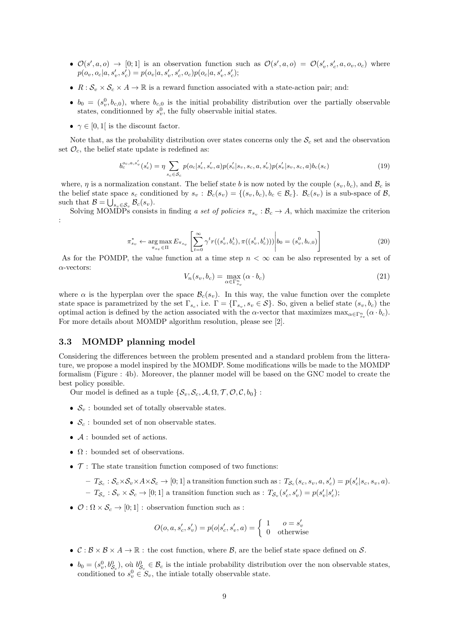- $\mathcal{O}(s', a, o) \rightarrow [0, 1]$  is an observation function such as  $\mathcal{O}(s', a, o) = \mathcal{O}(s'_v, s'_c, a, o_v, o_c)$  where  $p(o_v, o_c|a, s'_v, s'_c) = p(o_v|a, s'_v, s'_c, o_c)p(o_c|a, s'_v, s'_c);$
- $R : \mathcal{S}_v \times \mathcal{S}_c \times A \to \mathbb{R}$  is a reward function associated with a state-action pair; and:
- $b_0 = (s_v^0, b_{c,0}),$  where  $b_{c,0}$  is the initial probability distribution over the partially observable states, conditionned by  $s_v^0$ , the fully observable initial states.
- $\gamma \in [0, 1]$  is the discount factor.

Note that, as the probability distribution over states concerns only the  $S_c$  set and the observation set  $\mathcal{O}_c$ , the belief state update is redefined as:

$$
b_c^{o_c,a,s_v'}(s_c') = \eta \sum_{s_c \in \mathcal{S}_c} p(o_c|s_c', s_v', a) p(s_c'|s_v, s_c, a, s_v') p(s_v'|s_v, s_c, a) b_c(s_c)
$$
\n(19)

where,  $\eta$  is a normalization constant. The belief state b is now noted by the couple  $(s_v, b_c)$ , and  $\mathcal{B}_c$  is the belief state space  $s_c$  conditioned by  $s_v : \mathcal{B}_c(s_v) = \{(s_v, b_c), b_c \in \mathcal{B}_c\}$ .  $\mathcal{B}_c(s_v)$  is a sub-space of  $\mathcal{B}_c$ , such that  $\mathcal{B} = \bigcup_{s_v \in \mathcal{S}_v} \mathcal{B}_c(s_v)$ .

Solving MOMDPs consists in finding a set of policies  $\pi_{s_v} : \mathcal{B}_c \to A$ , which maximize the criterion :

$$
\pi_{s_v}^* \leftarrow \underset{\pi_{s_v} \in \Pi}{\arg \max} E_{\pi_{s_v}} \left[ \sum_{t=0}^{\infty} \gamma^t r((s_v^t, b_c^t), \pi((s_v^t, b_c^t))) \middle| b_0 = (s_v^0, b_{c,0}) \right]
$$
\n(20)

As for the POMDP, the value function at a time step  $n < \infty$  can be also represented by a set of  $\alpha$ -vectors:

$$
V_n(s_v, b_c) = \max_{\alpha \in \Gamma_{s_v}^n} (\alpha \cdot b_c)
$$
\n(21)

where  $\alpha$  is the hyperplan over the space  $\mathcal{B}_c(s_v)$ . In this way, the value function over the complete state space is parametrized by the set  $\Gamma_{s_c}$ , i.e.  $\Gamma = \{\Gamma_{s_v}, s_v \in \mathcal{S}\}\.$  So, given a belief state  $(s_v, b_c)$  the optimal action is defined by the action associated with the  $\alpha$ -vector that maximizes  $\max_{\alpha \in \Gamma_{s_v}^n} (\alpha \cdot b_c)$ . For more details about MOMDP algorithm resolution, please see [2].

## 3.3 MOMDP planning model

Considering the differences between the problem presented and a standard problem from the litterature, we propose a model inspired by the MOMDP. Some modifications wills be made to the MOMDP formalism (Figure : 4b). Moreover, the planner model will be based on the GNC model to create the best policy possible.

Our model is defined as a tuple  $\{\mathcal{S}_v, \mathcal{S}_c, \mathcal{A}, \Omega, \mathcal{T}, \mathcal{O}, \mathcal{C}, b_0\}$ :

- $\bullet$   $\mathcal{S}_v$  : bounded set of totally observable states.
- $\bullet$   $\mathcal{S}_c$  : bounded set of non observable states.
- $\bullet$   $\mathcal A$  : bounded set of actions.
- $\Omega$ : bounded set of observations.
- $\bullet$   $\mathcal{T}$ : The state transition function composed of two functions:

 $- T_{\mathcal{S}_c} : \mathcal{S}_c \times \mathcal{S}_v \times A \times \mathcal{S}_c \to [0;1]$  a transition function such as :  $T_{\mathcal{S}_c}(s_c, s_v, a, s'_c) = p(s'_c|s_c, s_v, a)$ .  $-T_{\mathcal{S}_v} : \mathcal{S}_v \times \mathcal{S}_c \to [0;1]$  a transition function such as :  $T_{\mathcal{S}_v}(s'_c, s'_v) = p(s'_v | s'_c);$ 

 $\bullet$   $\mathcal{O}: \Omega \times \mathcal{S}_c \rightarrow [0;1]$ : observation function such as :

$$
O(o, a, s'_c, s'_v) = p(o|s'_c, s'_v, a) = \begin{cases} 1 & o = s'_v \\ 0 & \text{otherwise} \end{cases}
$$

- $\mathcal{C}: \mathcal{B} \times \mathcal{B} \times A \to \mathbb{R}$ : the cost function, where  $\mathcal{B}$ , are the belief state space defined on  $\mathcal{S}$ .
- $b_0 = (s_v^0, b_{\mathcal{S}_c}^0)$ , où  $b_{\mathcal{S}_c}^0 \in \mathcal{B}_c$  is the intiale probability distribution over the non observable states, conditioned to  $s_v^0 \in S_v$ , the intiale totally observable state.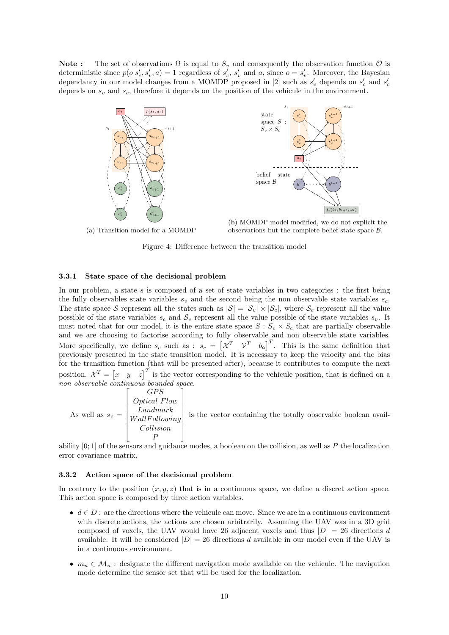Note: The set of observations  $\Omega$  is equal to  $S_v$  and consequently the observation function  $\mathcal O$  is deterministic since  $p(o|s'_c, s'_v, a) = 1$  regardless of  $s'_c$ ,  $s'_v$  and a, since  $o = s'_v$ . Moreover, the Bayesian dependancy in our model changes from a MOMDP proposed in [2] such as  $s'_v$  depends on  $s'_c$  and  $s'_c$ depends on  $s_v$  and  $s_c$ , therefore it depends on the position of the vehicule in the environment.





(b) MOMDP model modified, we do not explicit the observations but the complete belief state space B.

Figure 4: Difference between the transition model

#### 3.3.1 State space of the decisional problem

In our problem, a state s is composed of a set of state variables in two categories : the first being the fully observables state variables  $s_v$  and the second being the non observable state variables  $s_c$ . The state space S represent all the states such as  $|S| = |\mathcal{S}_v| \times |\mathcal{S}_c|$ , where  $\mathcal{S}_c$  represent all the value possible of the state variables  $s_c$  and  $S_v$  represent all the value possible of the state variables  $s_v$ . It must noted that for our model, it is the entire state space  $S : S_v \times S_c$  that are partially observable and we are choosing to factorise according to fully observable and non observable state variables. More specifically, we define  $s_c$  such as :  $s_c = \begin{bmatrix} \chi^T & \mathcal{V}^T & b_a \end{bmatrix}^T$ . This is the same definition that previously presented in the state transition model. It is necessary to keep the velocity and the bias for the transition function (that will be presented after), because it contributes to compute the next position.  $\mathcal{X}^T = \begin{bmatrix} x & y & z \end{bmatrix}^T$  is the vector corresponding to the vehicule position, that is defined on a non observable continuous bounded space.

As well as  $s_v =$  $\lceil$  $\begin{array}{c} \hline \end{array}$ GP<sub>S</sub> Optical Flow Landmark W allF ollowing Collision P 1  $\begin{array}{c} \begin{array}{c} \begin{array}{c} \end{array} \\ \begin{array}{c} \end{array} \end{array} \end{array}$ is the vector containing the totally observable boolean avail-

ability  $[0, 1]$  of the sensors and guidance modes, a boolean on the collision, as well as P the localization error covariance matrix.

## 3.3.2 Action space of the decisional problem

In contrary to the position  $(x, y, z)$  that is in a continuous space, we define a discret action space. This action space is composed by three action variables.

- $d \in D$ : are the directions where the vehicule can move. Since we are in a continuous environment with discrete actions, the actions are chosen arbitrarily. Assuming the UAV was in a 3D grid composed of voxels, the UAV would have 26 adjacent voxels and thus  $|D| = 26$  directions d available. It will be considered  $|D| = 26$  directions d available in our model even if the UAV is in a continuous environment.
- $m_n \in \mathcal{M}_n$ : designate the different navigation mode available on the vehicule. The navigation mode determine the sensor set that will be used for the localization.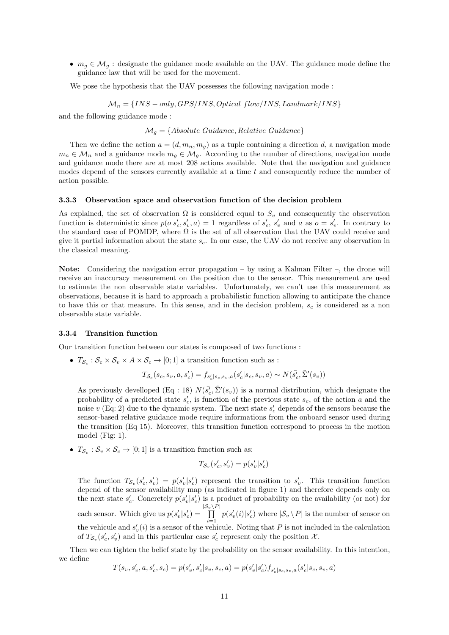•  $m_g \in \mathcal{M}_g$ : designate the guidance mode available on the UAV. The guidance mode define the guidance law that will be used for the movement.

We pose the hypothesis that the UAV possesses the following navigation mode :

 $M_n = \{INS - only, GPS/INS, Optical\ flow/INS, Landmark/INS\}$ 

and the following guidance mode :

 $\mathcal{M}_q = \{Absolute\ Guide, Relative\ Guide\}$ 

Then we define the action  $a = (d, m_n, m_q)$  as a tuple containing a direction d, a navigation mode  $m_n \in \mathcal{M}_n$  and a guidance mode  $m_q \in \mathcal{M}_q$ . According to the number of directions, navigation mode and guidance mode there are at most 208 actions available. Note that the navigation and guidance modes depend of the sensors currently available at a time  $t$  and consequently reduce the number of action possible.

## 3.3.3 Observation space and observation function of the decision problem

As explained, the set of observation  $\Omega$  is considered equal to  $S_v$  and consequently the observation function is deterministic since  $p(o|s'_c, s'_v, a) = 1$  regardless of  $s'_c, s'_v$  and a as  $o = s'_v$ . In contrary to the standard case of POMDP, where  $\Omega$  is the set of all observation that the UAV could receive and give it partial information about the state  $s_c$ . In our case, the UAV do not receive any observation in the classical meaning.

Note: Considering the navigation error propagation – by using a Kalman Filter –, the drone will receive an inaccuracy measurement on the position due to the sensor. This measurement are used to estimate the non observable state variables. Unfortunately, we can't use this measurement as observations, because it is hard to approach a probabilistic function allowing to anticipate the chance to have this or that measure. In this sense, and in the decision problem,  $s_c$  is considered as a non observable state variable.

#### 3.3.4 Transition function

Our transition function between our states is composed of two functions :

•  $T_{\mathcal{S}_c}: \mathcal{S}_c \times \mathcal{S}_v \times A \times \mathcal{S}_c \rightarrow [0,1]$  a transition function such as :

$$
T_{\mathcal{S}_c}(s_c, s_v, a, s'_c) = f_{s'_c|s_c, s_v, a}(s'_c|s_c, s_v, a) \sim N(\bar{s'_c}, \tilde{\Sigma}'(s_v))
$$

As previously develloped (Eq : 18)  $N(\bar{s'_c}, \tilde{\Sigma}'(s_v))$  is a normal distribution, which designate the probability of a predicted state  $s'_{c}$ , is function of the previous state  $s_{c}$ , of the action a and the noise  $v$  (Eq: 2) due to the dynamic system. The next state  $s'_{c}$  depends of the sensors because the sensor-based relative guidance mode require informations from the onboard sensor used during the transition (Eq 15). Moreover, this transition function correspond to process in the motion model (Fig: 1).

•  $T_{\mathcal{S}_v} : \mathcal{S}_v \times \mathcal{S}_c \to [0; 1]$  is a transition function such as:

$$
T_{\mathcal{S}_v}(s'_c,s'_v)=p(s'_v|s'_c)
$$

The function  $T_{\mathcal{S}_v}(s'_c, s'_v) = p(s'_v|s'_c)$  represent the transition to  $s'_v$ . This transition function depend of the sensor availability map (as indicated in figure 1) and therefore depends only on the next state  $s'_c$ . Concretely  $p(s'_v|s'_c)$  is a product of probability on the availability (or not) for each sensor. Which give us  $p(s'_v | s'_c)$  =  $\frac{|{\cal S}_v \setminus P|}{\prod}$ the vehicule and  $s'_v(i)$  is a sensor of the vehicule. Noting that P is not included in the calculation  $p(s'_v(i)|s'_c)$  where  $|\mathcal{S}_v \setminus P|$  is the number of sensor on of  $T_{\mathcal{S}_v}(s'_c, s'_v)$  and in this particular case  $s'_c$  represent only the position  $\mathcal{X}$ .

Then we can tighten the belief state by the probability on the sensor availability. In this intention, we define  $\sim$ 

$$
T(s_v,s_v',a,s_c',s_c) = p(s_v',s_c'|s_v,s_c,a) = p(s_v'|s_c')f_{s_c'|s_c,s_v,a}(s_c'|s_c,s_v,a)
$$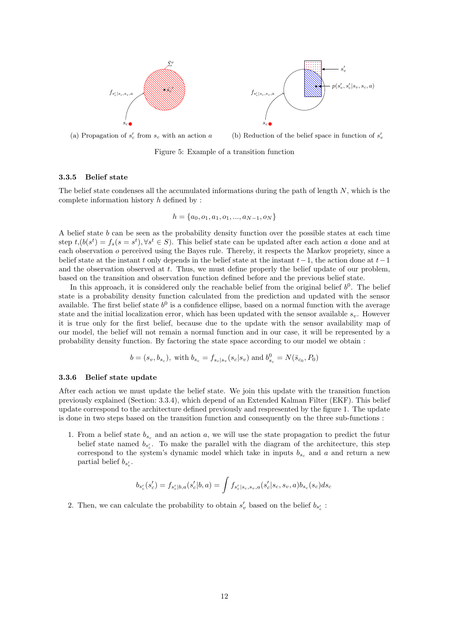

(a) Propagation of  $s'_{c}$  from  $s_{c}$  with an action a

(b) Reduction of the belief space in function of  $s'_v$ 

Figure 5: Example of a transition function

### 3.3.5 Belief state

The belief state condenses all the accumulated informations during the path of length  $N$ , which is the complete information history  $h$  defined by :

$$
h = \{a_0, o_1, a_1, o_1, ..., a_{N-1}, o_N\}
$$

A belief state b can be seen as the probability density function over the possible states at each time step  $t, (b(s^t) = f_s(s = s^t), \forall s^t \in S)$ . This belief state can be updated after each action a done and at each observation o perceived using the Bayes rule. Thereby, it respects the Markov propriety, since a belief state at the instant t only depends in the belief state at the instant  $t-1$ , the action done at  $t-1$ and the observation observed at t. Thus, we must define properly the belief update of our problem. based on the transition and observation function defined before and the previous belief state.

In this approach, it is considered only the reachable belief from the original belief  $b^0$ . The belief state is a probability density function calculated from the prediction and updated with the sensor available. The first belief state  $b^0$  is a confidence ellipse, based on a normal function with the average state and the initial localization error, which has been updated with the sensor available  $s_n$ . However it is true only for the first belief, because due to the update with the sensor availability map of our model, the belief will not remain a normal function and in our case, it will be represented by a probability density function. By factoring the state space according to our model we obtain :

$$
b = (s_v, b_{s_c}),
$$
 with  $b_{s_c} = f_{s_c|s_v}(s_c|s_v)$  and  $b_{s_c}^0 = N(\bar{s}_{c_0}, P_0)$ 

## 3.3.6 Belief state update

After each action we must update the belief state. We join this update with the transition function previously explained (Section: 3.3.4), which depend of an Extended Kalman Filter (EKF). This belief update correspond to the architecture defined previously and respresented by the figure 1. The update is done in two steps based on the transition function and consequently on the three sub-functions :

1. From a belief state  $b_{s_c}$  and an action a, we will use the state propagation to predict the future belief state named  $b_{s'_{c}}$ . To make the parallel with the diagram of the architecture, this step correspond to the system's dynamic model which take in inputs  $b_{s_c}$  and a and return a new partial belief  $b_{s'_{c}}$ .

$$
b_{s'_c}(s'_c) = f_{s'_c|b,a}(s'_c|b,a) = \int f_{s'_c|s_c,s_v,a}(s'_c|s_c,s_v,a)b_{s_c}(s_c)ds_c
$$

2. Then, we can calculate the probability to obtain  $s'_v$  based on the belief  $b_{s'_c}$ :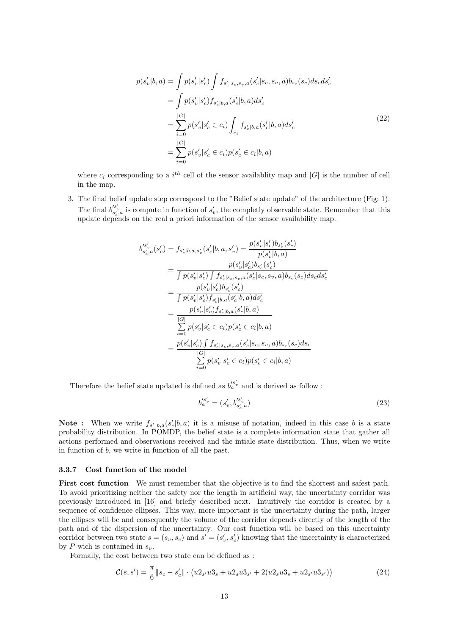$$
p(s'_{v}|b,a) = \int p(s'_{v}|s'_{c}) \int f_{s'_{c}|s_{c},s_{v},a}(s'_{c}|s_{c},s_{v},a)b_{s_{c}}(s_{c})ds_{c}ds'_{c}
$$
  
\n
$$
= \int p(s'_{v}|s'_{c}) f_{s'_{c}|b,a}(s'_{c}|b,a)ds'_{c}
$$
  
\n
$$
= \sum_{i=0}^{|G|} p(s'_{v}|s'_{c} \in c_{i}) \int_{c_{i}} f_{s'_{c}|b,a}(s'_{c}|b,a)ds'_{c}
$$
  
\n
$$
= \sum_{i=0}^{|G|} p(s'_{v}|s'_{c} \in c_{i}) p(s'_{c} \in c_{i}|b,a)
$$
  
\n(22)

where  $c_i$  corresponding to a  $i^{th}$  cell of the sensor availablity map and  $|G|$  is the number of cell in the map.

3. The final belief update step correspond to the "Belief state update" of the architecture (Fig: 1). The final  $b_{s'_c,a}^{s'_v}$  is compute in function of  $s'_v$ , the completly observable state. Remember that this update depends on the real a priori information of the sensor availability map.

$$
b'_{s'_{c},a}(s'_{c}) = f_{s'_{c}|b,a,s'_{v}}(s'_{c}|b,a,s'_{v}) = \frac{p(s'_{v}|s'_{c})b_{s'_{c}}(s'_{c})}{p(s'_{v}|b,a)}
$$
  
\n
$$
= \frac{p(s'_{v}|s'_{c})b_{s'_{c}}(s'_{c})}{\int p(s'_{v}|s'_{c}) \int f_{s'_{c}|s_{c},s_{v},a}(s'_{c}|s_{c},s_{v},a)b_{s_{c}}(s_{c})ds_{c}ds'_{c}}
$$
  
\n
$$
= \frac{p(s'_{v}|s'_{c})b_{s'_{c}}(s'_{c})}{\int p(s'_{v}|s'_{c})f_{s'_{c}|b,a}(s'_{c}|b,a)ds'_{c}}
$$
  
\n
$$
= \frac{p(s'_{v}|s'_{c})f_{s'_{c}|b,a}(s'_{c}|b,a)}{\sum_{i=0}^{\lfloor G \rfloor} p(s'_{v}|s'_{c} \in c_{i})p(s'_{c} \in c_{i}|b,a)}
$$
  
\n
$$
= \frac{p(s'_{v}|s'_{c}) \int f_{s'_{c}|s_{c},s_{v},a}(s'_{c}|s_{c},s_{v},a)b_{s_{c}}(s_{c})ds_{c}}{\sum_{i=0}^{\lfloor G \rfloor} p(s'_{v}|s'_{c} \in c_{i})p(s'_{c} \in c_{i}|b,a)}
$$

Therefore the belief state updated is defined as  $b'^{s'_v}_a$  and is derived as follow :

$$
b'^{s'_v}_a = (s'_v, b'^{s'_v}_{s'_c, a})
$$
\n(23)

**Note :** When we write  $f_{s'_c|b,a}(s'_c|b,a)$  it is a misuse of notation, indeed in this case b is a state probability distribution. In POMDP, the belief state is a complete information state that gather all actions performed and observations received and the intiale state distribution. Thus, when we write in function of b, we write in function of all the past.

#### 3.3.7 Cost function of the model

First cost function We must remember that the objective is to find the shortest and safest path. To avoid prioritizing neither the safety nor the length in artificial way, the uncertainty corridor was previously introduced in [16] and briefly described next. Intuitively the corridor is created by a sequence of confidence ellipses. This way, more important is the uncertainty during the path, larger the ellipses will be and consequently the volume of the corridor depends directly of the length of the path and of the dispersion of the uncertainty. Our cost function will be based on this uncertainty corridor between two state  $s = (s_v, s_c)$  and  $s' = (s'_v, s'_c)$  knowing that the uncertainty is characterized by  $P$  wich is contained in  $s_v$ .

Formally, the cost between two state can be defined as :

$$
\mathcal{C}(s,s') = \frac{\pi}{6} ||s_c - s'_c|| \cdot \left( u_{s'} u_{s'} + u_{s} u_{s'} + 2(u_{s'} u_{s'} + u_{s'} u_{s'}) \right)
$$
(24)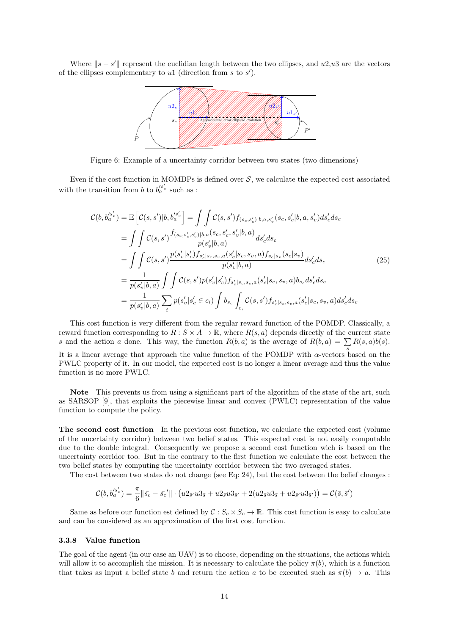Where  $||s - s'||$  represent the euclidian length between the two ellipses, and  $u2,u3$  are the vectors of the ellipses complementary to  $u_1$  (direction from s to  $s'$ ).



Figure 6: Example of a uncertainty corridor between two states (two dimensions)

Even if the cost function in MOMDPs is defined over  $S$ , we calculate the expected cost associated with the transition from  $b$  to  $b'^{s'_v}_a$  such as :

$$
\mathcal{C}(b, b'^{s'_{v}}_{a}) = \mathbb{E}\left[\mathcal{C}(s, s')|b, b'^{s'_{v}}_{a}\right] = \iint \mathcal{C}(s, s')f_{(s_c, s'_c)|b, a, s'_v}(s_c, s'_c|b, a, s'_v)ds'_cds_c
$$
  
\n
$$
= \iint \mathcal{C}(s, s')\frac{f_{(s_c, s'_c, s'_v)|b, a}(s_c, s'_c, s'_v|b, a)}{p(s'_v|b, a)}ds'_cds_c
$$
  
\n
$$
= \iint \mathcal{C}(s, s')\frac{p(s'_v|s'_c)f_{s'_c|s_c, s_v, a}(s'_c|s_c, s_v, a)f_{s_c|s_v}(s_c|s_v)}{p(s'_v|b, a)}ds'_cds_c
$$
  
\n
$$
= \frac{1}{p(s'_v|b, a)} \iint \mathcal{C}(s, s')p(s'_v|s'_c)f_{s'_c|s_c, s_v, a}(s'_c|s_c, s_v, a)b_{s_c}ds'_cds_c
$$
  
\n
$$
= \frac{1}{p(s'_v|b, a)} \sum_{i} p(s'_v|s'_c \in c_i) \int b_{s_c} \int_{c_i} \mathcal{C}(s, s')f_{s'_c|s_c, s_v, a}(s'_c|s_c, s_v, a)ds'_cds_c
$$
  
\n(25)

This cost function is very different from the regular reward function of the POMDP. Classically, a reward function corresponding to  $R: S \times A \to \mathbb{R}$ , where  $R(s, a)$  depends directly of the current state s and the action a done. This way, the function  $R(b, a)$  is the average of  $R(b, a) = \sum R(s, a)b(s)$ . It is a linear average that approach the value function of the POMDP with  $\alpha$ -vectors based on the PWLC property of it. In our model, the expected cost is no longer a linear average and thus the value function is no more PWLC.

Note This prevents us from using a significant part of the algorithm of the state of the art, such as SARSOP [9], that exploits the piecewise linear and convex (PWLC) representation of the value function to compute the policy.

The second cost function In the previous cost function, we calculate the expected cost (volume of the uncertainty corridor) between two belief states. This expected cost is not easily computable due to the double integral. Consequently we propose a second cost function wich is based on the uncertainty corridor too. But in the contrary to the first function we calculate the cost between the two belief states by computing the uncertainty corridor between the two averaged states.

The cost between two states do not change (see Eq: 24), but the cost between the belief changes :

$$
\mathcal{C}(b,b'^{s'_{v}}_{a})=\frac{\pi}{6}\|\bar{s_{c}}-\bar{s_{c}}'\|\cdot\left(u2_{\bar{s}'}u3_{\bar{s}}+u2_{\bar{s}}u3_{\bar{s}'}+2(u2_{\bar{s}}u3_{\bar{s}}+u2_{\bar{s}'}u3_{\bar{s}'})\right)=\mathcal{C}(\bar{s},\bar{s}')
$$

Same as before our function est defined by  $C: S_c \times S_c \to \mathbb{R}$ . This cost function is easy to calculate and can be considered as an approximation of the first cost function.

#### 3.3.8 Value function

The goal of the agent (in our case an UAV) is to choose, depending on the situations, the actions which will allow it to accomplish the mission. It is necessary to calculate the policy  $\pi(b)$ , which is a function that takes as input a belief state b and return the action a to be executed such as  $\pi(b) \to a$ . This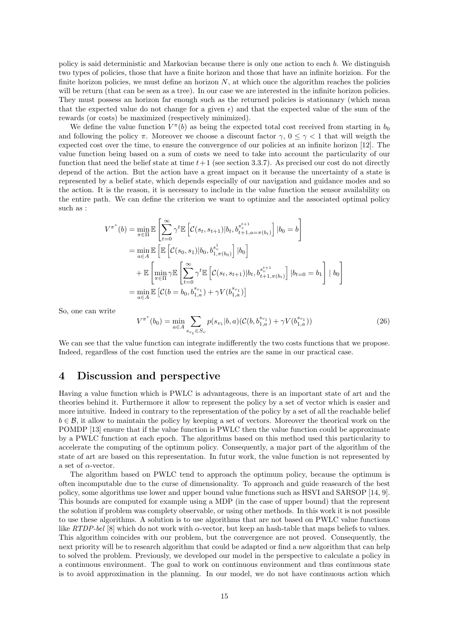policy is said deterministic and Markovian because there is only one action to each b. We distinguish two types of policies, those that have a finite horizon and those that have an infinite horizion. For the finite horizon policies, we must define an horizon  $N$ , at which once the algorithm reaches the policies will be return (that can be seen as a tree). In our case we are interested in the infinite horizon policies. They must possess an horizon far enough such as the returned policies is stationnary (which mean that the expected value do not change for a given  $\epsilon$ ) and that the expected value of the sum of the rewards (or costs) be maximized (respectively minimized).

We define the value function  $V^{\pi}(b)$  as being the expected total cost received from starting in  $b_0$ and following the policy  $\pi$ . Moreover we choose a discount factor  $\gamma$ ,  $0 \leq \gamma < 1$  that will weigth the expected cost over the time, to ensure the convergence of our policies at an infinite horizon [12]. The value function being based on a sum of costs we need to take into account the particularity of our function that need the belief state at time  $t+1$  (see section 3.3.7). As precised our cost do not directly depend of the action. But the action have a great impact on it because the uncertainty of a state is represented by a belief state, which depends especially of our navigation and guidance modes and so the action. It is the reason, it is necessary to include in the value function the sensor availability on the entire path. We can define the criterion we want to optimize and the associated optimal policy such as :

$$
V^{\pi^*}(b) = \min_{\pi \in \Pi} \mathbb{E} \left[ \sum_{t=0}^{\infty} \gamma^t \mathbb{E} \left[ C(s_t, s_{t+1}) | b_t, b_{t+1, a=\pi(b_t)}^{s_t^{t+1}} \right] | b_0 = b \right]
$$
  
\n
$$
= \min_{a \in A} \mathbb{E} \left[ \mathbb{E} \left[ C(s_0, s_1) | b_0, b_{1, \pi(b_0)}^{s_0^1} \right] | b_0 \right]
$$
  
\n
$$
+ \mathbb{E} \left[ \min_{\pi \in \Pi} \gamma \mathbb{E} \left[ \sum_{t=0}^{\infty} \gamma^t \mathbb{E} \left[ C(s_t, s_{t+1}) | b_t, b_{t+1, \pi(b_t)}^{s_t^{t+1}} \right] | b_{t=0} = b_1 \right] | b_0 \right]
$$
  
\n
$$
= \min_{a \in A} \mathbb{E} \left[ C(b = b_0, b_{1, a}^{s_0^1}) + \gamma V(b_{1, a}^{s_0^1}) \right]
$$

So, one can write

$$
V^{\pi^*}(b_0) = \min_{a \in A} \sum_{s_{v_1} \in S_v} p(s_{v_1}|b, a) (\mathcal{C}(b, b_{1,a}^{s_{v_1}}) + \gamma V(b_{1,a}^{s_{v_1}}))
$$
\n(26)

We can see that the value function can integrate indifferently the two costs functions that we propose. Indeed, regardless of the cost function used the entries are the same in our practical case.

## 4 Discussion and perspective

Having a value function which is PWLC is advantageous, there is an important state of art and the theories behind it. Furthermore it allow to represent the policy by a set of vector which is easier and more intuitive. Indeed in contrary to the representation of the policy by a set of all the reachable belief  $b \in \mathcal{B}$ , it allow to maintain the policy by keeping a set of vectors. Moreover the theorical work on the POMDP [13] ensure that if the value function is PWLC then the value function could be approximate by a PWLC function at each epoch. The algorithms based on this method used this particularity to accelerate the computing of the optimum policy. Consequently, a major part of the algorithm of the state of art are based on this representation. In futur work, the value function is not represented by a set of  $\alpha$ -vector.

The algorithm based on PWLC tend to approach the optimum policy, because the optimum is often incomputable due to the curse of dimensionality. To approach and guide reasearch of the best policy, some algorithms use lower and upper bound value functions such as HSVI and SARSOP [14, 9]. This bounds are computed for example using a MDP (in the case of upper bound) that the represent the solution if problem was complety observable, or using other methods. In this work it is not possible to use these algorithms. A solution is to use algorithms that are not based on PWLC value functions like  $RTDP$ -bel [8] which do not work with  $\alpha$ -vector, but keep an hash-table that maps beliefs to values. This algorithm coincides with our problem, but the convergence are not proved. Consequently, the next priority will be to research algorithm that could be adapted or find a new algorithm that can help to solved the problem. Previously, we developed our model in the perspective to calculate a policy in a continuous environment. The goal to work on continuous environment and thus continuous state is to avoid approximation in the planning. In our model, we do not have continuous action which